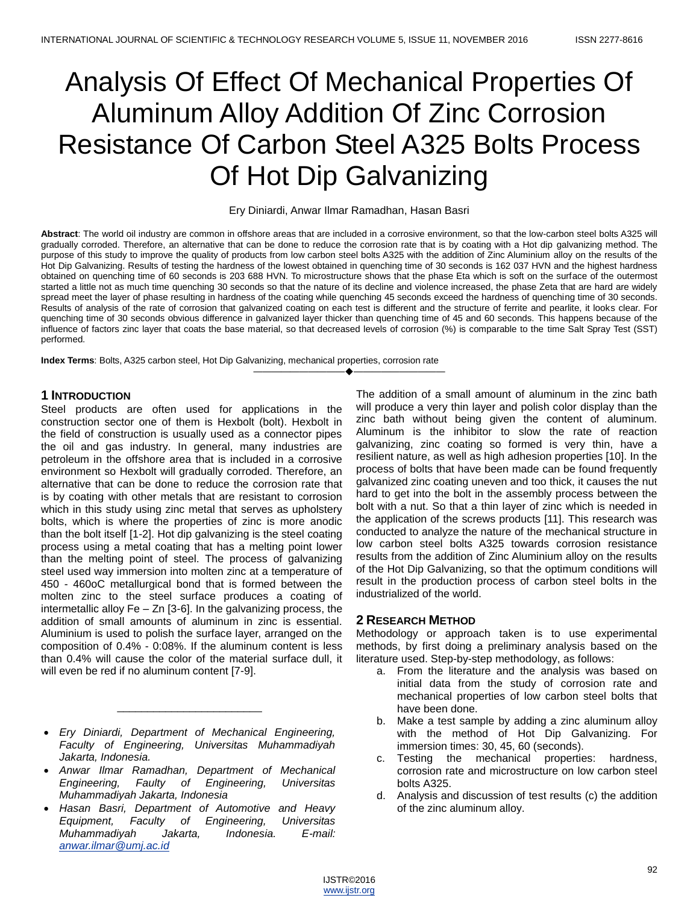# Analysis Of Effect Of Mechanical Properties Of Aluminum Alloy Addition Of Zinc Corrosion Resistance Of Carbon Steel A325 Bolts Process Of Hot Dip Galvanizing

#### Ery Diniardi, Anwar Ilmar Ramadhan, Hasan Basri

**Abstract**: The world oil industry are common in offshore areas that are included in a corrosive environment, so that the low-carbon steel bolts A325 will gradually corroded. Therefore, an alternative that can be done to reduce the corrosion rate that is by coating with a Hot dip galvanizing method. The purpose of this study to improve the quality of products from low carbon steel bolts A325 with the addition of Zinc Aluminium alloy on the results of the Hot Dip Galvanizing. Results of testing the hardness of the lowest obtained in quenching time of 30 seconds is 162 037 HVN and the highest hardness obtained on quenching time of 60 seconds is 203 688 HVN. To microstructure shows that the phase Eta which is soft on the surface of the outermost started a little not as much time quenching 30 seconds so that the nature of its decline and violence increased, the phase Zeta that are hard are widely spread meet the layer of phase resulting in hardness of the coating while quenching 45 seconds exceed the hardness of quenching time of 30 seconds. Results of analysis of the rate of corrosion that galvanized coating on each test is different and the structure of ferrite and pearlite, it looks clear. For quenching time of 30 seconds obvious difference in galvanized layer thicker than quenching time of 45 and 60 seconds. This happens because of the influence of factors zinc layer that coats the base material, so that decreased levels of corrosion (%) is comparable to the time Salt Spray Test (SST) performed.

————————————————————

**Index Terms**: Bolts, A325 carbon steel, Hot Dip Galvanizing, mechanical properties, corrosion rate

## **1 INTRODUCTION**

Steel products are often used for applications in the construction sector one of them is Hexbolt (bolt). Hexbolt in the field of construction is usually used as a connector pipes the oil and gas industry. In general, many industries are petroleum in the offshore area that is included in a corrosive environment so Hexbolt will gradually corroded. Therefore, an alternative that can be done to reduce the corrosion rate that is by coating with other metals that are resistant to corrosion which in this study using zinc metal that serves as upholstery bolts, which is where the properties of zinc is more anodic than the bolt itself [1-2]. Hot dip galvanizing is the steel coating process using a metal coating that has a melting point lower than the melting point of steel. The process of galvanizing steel used way immersion into molten zinc at a temperature of 450 - 460oC metallurgical bond that is formed between the molten zinc to the steel surface produces a coating of intermetallic alloy Fe – Zn [3-6]. In the galvanizing process, the addition of small amounts of aluminum in zinc is essential. Aluminium is used to polish the surface layer, arranged on the composition of 0.4% - 0:08%. If the aluminum content is less than 0.4% will cause the color of the material surface dull, it will even be red if no aluminum content [7-9].

 *Ery Diniardi, Department of Mechanical Engineering, Faculty of Engineering, Universitas Muhammadiyah Jakarta, Indonesia.* 

\_\_\_\_\_\_\_\_\_\_\_\_\_\_\_\_\_\_\_\_\_\_\_\_

- *Anwar Ilmar Ramadhan, Department of Mechanical Engineering, Faulty of Engineering, Universitas Muhammadiyah Jakarta, Indonesia*
- *Hasan Basri, Department of Automotive and Heavy Equipment, Faculty of Engineering, Universitas Muhammadiyah Jakarta, Indonesia. E-mail: [anwar.ilmar@umj.ac.id](mailto:anwar.ilmar@umj.ac.id)*

The addition of a small amount of aluminum in the zinc bath will produce a very thin layer and polish color display than the zinc bath without being given the content of aluminum. Aluminum is the inhibitor to slow the rate of reaction galvanizing, zinc coating so formed is very thin, have a resilient nature, as well as high adhesion properties [10]. In the process of bolts that have been made can be found frequently galvanized zinc coating uneven and too thick, it causes the nut hard to get into the bolt in the assembly process between the bolt with a nut. So that a thin layer of zinc which is needed in the application of the screws products [11]. This research was conducted to analyze the nature of the mechanical structure in low carbon steel bolts A325 towards corrosion resistance results from the addition of Zinc Aluminium alloy on the results of the Hot Dip Galvanizing, so that the optimum conditions will result in the production process of carbon steel bolts in the industrialized of the world.

# **2 RESEARCH METHOD**

Methodology or approach taken is to use experimental methods, by first doing a preliminary analysis based on the literature used. Step-by-step methodology, as follows:

- a. From the literature and the analysis was based on initial data from the study of corrosion rate and mechanical properties of low carbon steel bolts that have been done.
- b. Make a test sample by adding a zinc aluminum alloy with the method of Hot Dip Galvanizing. For immersion times: 30, 45, 60 (seconds).
- c. Testing the mechanical properties: hardness, corrosion rate and microstructure on low carbon steel bolts A325.
- d. Analysis and discussion of test results (c) the addition of the zinc aluminum alloy.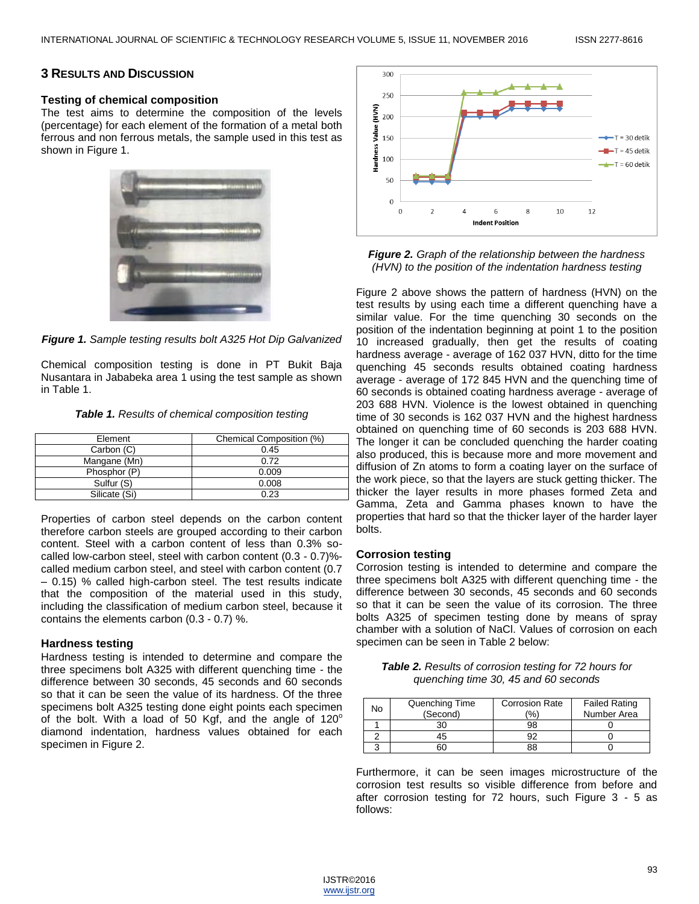## **3 RESULTS AND DISCUSSION**

#### **Testing of chemical composition**

The test aims to determine the composition of the levels (percentage) for each element of the formation of a metal both ferrous and non ferrous metals, the sample used in this test as shown in Figure 1.





Chemical composition testing is done in PT Bukit Baja Nusantara in Jababeka area 1 using the test sample as shown in Table 1.

*Table 1. Results of chemical composition testing*

| Element       | Chemical Composition (%) |  |
|---------------|--------------------------|--|
| Carbon (C)    | 0.45                     |  |
| Mangane (Mn)  | 0.72                     |  |
| Phosphor (P)  | 0.009                    |  |
| Sulfur (S)    | 0.008                    |  |
| Silicate (Si) | 0.23                     |  |

Properties of carbon steel depends on the carbon content therefore carbon steels are grouped according to their carbon content. Steel with a carbon content of less than 0.3% socalled low-carbon steel, steel with carbon content (0.3 - 0.7)% called medium carbon steel, and steel with carbon content (0.7 – 0.15) % called high-carbon steel. The test results indicate that the composition of the material used in this study, including the classification of medium carbon steel, because it contains the elements carbon (0.3 - 0.7) %.

#### **Hardness testing**

Hardness testing is intended to determine and compare the three specimens bolt A325 with different quenching time - the difference between 30 seconds, 45 seconds and 60 seconds so that it can be seen the value of its hardness. Of the three specimens bolt A325 testing done eight points each specimen of the bolt. With a load of 50 Kgf, and the angle of  $120^\circ$ diamond indentation, hardness values obtained for each specimen in Figure 2.



*Figure 2. Graph of the relationship between the hardness (HVN) to the position of the indentation hardness testing*

Figure 2 above shows the pattern of hardness (HVN) on the test results by using each time a different quenching have a similar value. For the time quenching 30 seconds on the position of the indentation beginning at point 1 to the position 10 increased gradually, then get the results of coating hardness average - average of 162 037 HVN, ditto for the time quenching 45 seconds results obtained coating hardness average - average of 172 845 HVN and the quenching time of 60 seconds is obtained coating hardness average - average of 203 688 HVN. Violence is the lowest obtained in quenching time of 30 seconds is 162 037 HVN and the highest hardness obtained on quenching time of 60 seconds is 203 688 HVN. The longer it can be concluded quenching the harder coating also produced, this is because more and more movement and diffusion of Zn atoms to form a coating layer on the surface of the work piece, so that the layers are stuck getting thicker. The thicker the layer results in more phases formed Zeta and Gamma, Zeta and Gamma phases known to have the properties that hard so that the thicker layer of the harder layer bolts.

#### **Corrosion testing**

Corrosion testing is intended to determine and compare the three specimens bolt A325 with different quenching time - the difference between 30 seconds, 45 seconds and 60 seconds so that it can be seen the value of its corrosion. The three bolts A325 of specimen testing done by means of spray chamber with a solution of NaCl. Values of corrosion on each specimen can be seen in Table 2 below:

| <b>Table 2.</b> Results of corrosion testing for 72 hours for |
|---------------------------------------------------------------|
| quenching time 30, 45 and 60 seconds                          |

| No | Quenching Time | <b>Corrosion Rate</b> | <b>Failed Rating</b> |
|----|----------------|-----------------------|----------------------|
|    | (Second)       | (%)                   | Number Area          |
|    | 30             | 98                    |                      |
|    | 15             | מר                    |                      |
|    | ۲G             | 88                    |                      |

Furthermore, it can be seen images microstructure of the corrosion test results so visible difference from before and after corrosion testing for 72 hours, such Figure 3 - 5 as follows:

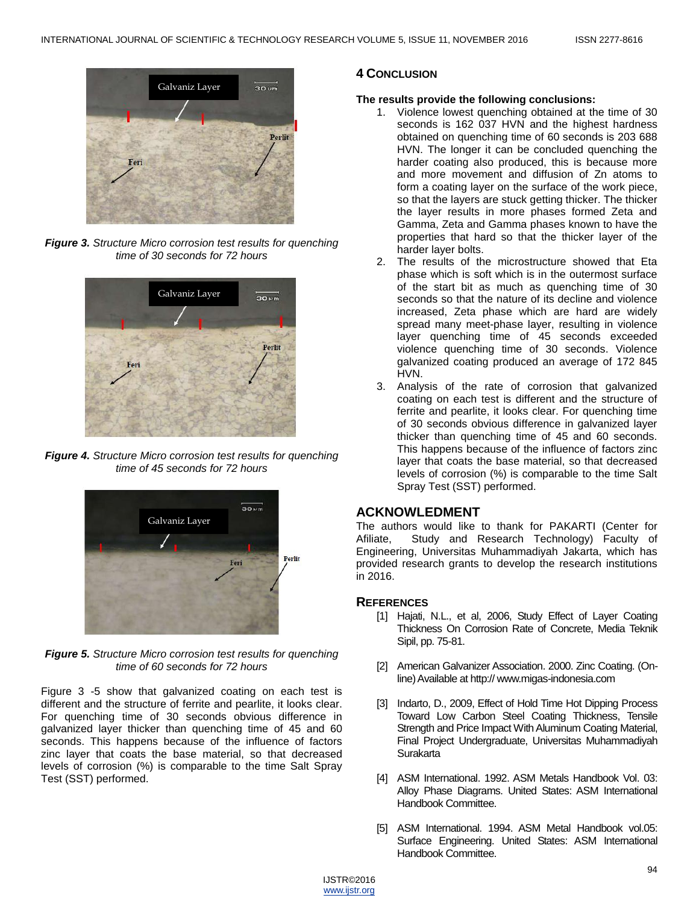

*Figure 3. Structure Micro corrosion test results for quenching time of 30 seconds for 72 hours*



*Figure 4. Structure Micro corrosion test results for quenching time of 45 seconds for 72 hours*



*Figure 5. Structure Micro corrosion test results for quenching time of 60 seconds for 72 hours*

Figure 3 -5 show that galvanized coating on each test is different and the structure of ferrite and pearlite, it looks clear. For quenching time of 30 seconds obvious difference in galvanized layer thicker than quenching time of 45 and 60 seconds. This happens because of the influence of factors zinc layer that coats the base material, so that decreased levels of corrosion (%) is comparable to the time Salt Spray Test (SST) performed.

## **4 CONCLUSION**

### **The results provide the following conclusions:**

- 1. Violence lowest quenching obtained at the time of 30 seconds is 162 037 HVN and the highest hardness obtained on quenching time of 60 seconds is 203 688 HVN. The longer it can be concluded quenching the harder coating also produced, this is because more and more movement and diffusion of Zn atoms to form a coating layer on the surface of the work piece, so that the layers are stuck getting thicker. The thicker the layer results in more phases formed Zeta and Gamma, Zeta and Gamma phases known to have the properties that hard so that the thicker layer of the harder layer bolts.
- 2. The results of the microstructure showed that Eta phase which is soft which is in the outermost surface of the start bit as much as quenching time of 30 seconds so that the nature of its decline and violence increased, Zeta phase which are hard are widely spread many meet-phase layer, resulting in violence layer quenching time of 45 seconds exceeded violence quenching time of 30 seconds. Violence galvanized coating produced an average of 172 845 HVN.
- 3. Analysis of the rate of corrosion that galvanized coating on each test is different and the structure of ferrite and pearlite, it looks clear. For quenching time of 30 seconds obvious difference in galvanized layer thicker than quenching time of 45 and 60 seconds. This happens because of the influence of factors zinc layer that coats the base material, so that decreased levels of corrosion (%) is comparable to the time Salt Spray Test (SST) performed.

# **ACKNOWLEDMENT**

The authors would like to thank for PAKARTI (Center for Afiliate, Study and Research Technology) Faculty of Engineering, Universitas Muhammadiyah Jakarta, which has provided research grants to develop the research institutions in 2016.

## **REFERENCES**

- [1] Hajati, N.L., et al, 2006, Study Effect of Layer Coating Thickness On Corrosion Rate of Concrete, Media Teknik Sipil, pp. 75-81.
- [2] American Galvanizer Association. 2000. Zinc Coating. (Online) Available at http:// www.migas-indonesia.com
- [3] Indarto, D., 2009, Effect of Hold Time Hot Dipping Process Toward Low Carbon Steel Coating Thickness, Tensile Strength and Price Impact With Aluminum Coating Material, Final Project Undergraduate, Universitas Muhammadiyah **Surakarta**
- [4] ASM International. 1992. ASM Metals Handbook Vol. 03: Alloy Phase Diagrams. United States: ASM International Handbook Committee.
- [5] ASM International. 1994. ASM Metal Handbook vol.05: Surface Engineering. United States: ASM International Handbook Committee.